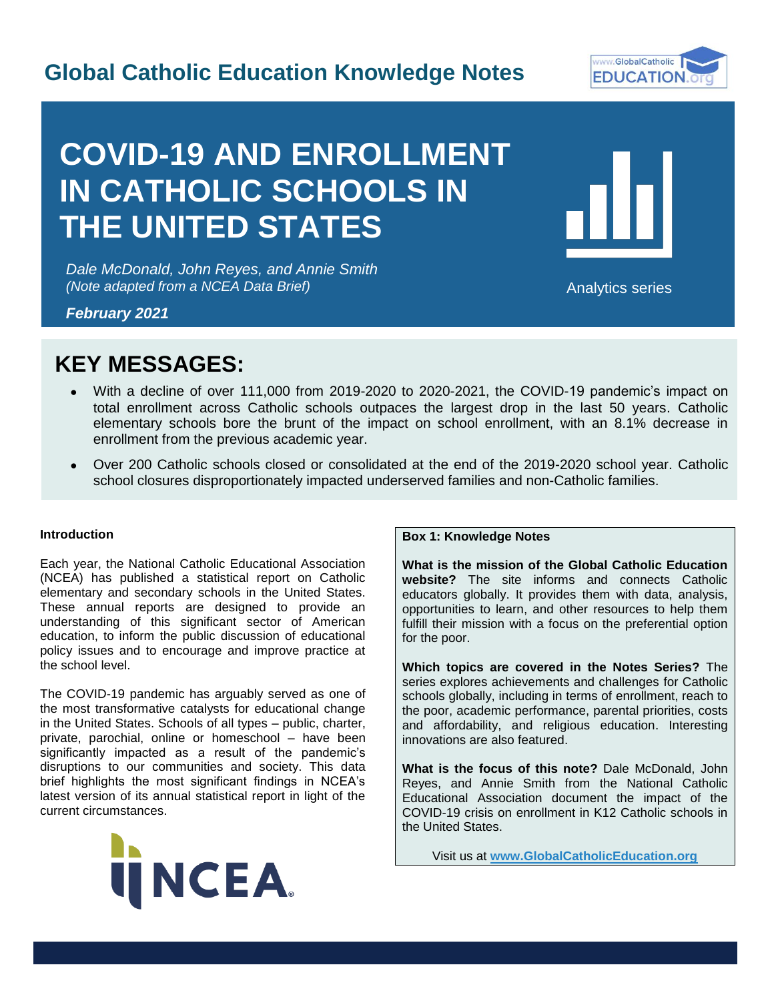# **Global Catholic Education Knowledge Notes**



# **COVID-19 AND ENROLLMENT IN CATHOLIC SCHOOLS IN THE UNITED STATES**

*Dale McDonald, John Reyes, and Annie Smith (Note adapted from a NCEA Data Brief)*



Analytics series

I

*February 2021*

# **KEY MESSAGES:**

- With a decline of over 111,000 from 2019-2020 to 2020-2021, the COVID-19 pandemic's impact on total enrollment across Catholic schools outpaces the largest drop in the last 50 years. Catholic elementary schools bore the brunt of the impact on school enrollment, with an 8.1% decrease in enrollment from the previous academic year.
- Over 200 Catholic schools closed or consolidated at the end of the 2019-2020 school year. Catholic school closures disproportionately impacted underserved families and non-Catholic families.

# **Introduction**

Each year, the National Catholic Educational Association (NCEA) has published a statistical report on Catholic elementary and secondary schools in the United States. These annual reports are designed to provide an understanding of this significant sector of American education, to inform the public discussion of educational policy issues and to encourage and improve practice at the school level.

The COVID-19 pandemic has arguably served as one of the most transformative catalysts for educational change in the United States. Schools of all types – public, charter, private, parochial, online or homeschool – have been significantly impacted as a result of the pandemic's disruptions to our communities and society. This data brief highlights the most significant findings in NCEA's latest version of its annual statistical report in light of the current circumstances.



# **Box 1: Knowledge Notes**

**What is the mission of the Global Catholic Education website?** The site informs and connects Catholic educators globally. It provides them with data, analysis, opportunities to learn, and other resources to help them fulfill their mission with a focus on the preferential option for the poor.

**Which topics are covered in the Notes Series?** The series explores achievements and challenges for Catholic schools globally, including in terms of enrollment, reach to the poor, academic performance, parental priorities, costs and affordability, and religious education. Interesting innovations are also featured.

**What is the focus of this note?** Dale McDonald, John Reyes, and Annie Smith from the National Catholic Educational Association document the impact of the COVID-19 crisis on enrollment in K12 Catholic schools in the United States.

Visit us at **[www.GlobalCatholicEducation.org](http://www.globalcatholiceducation.org/)**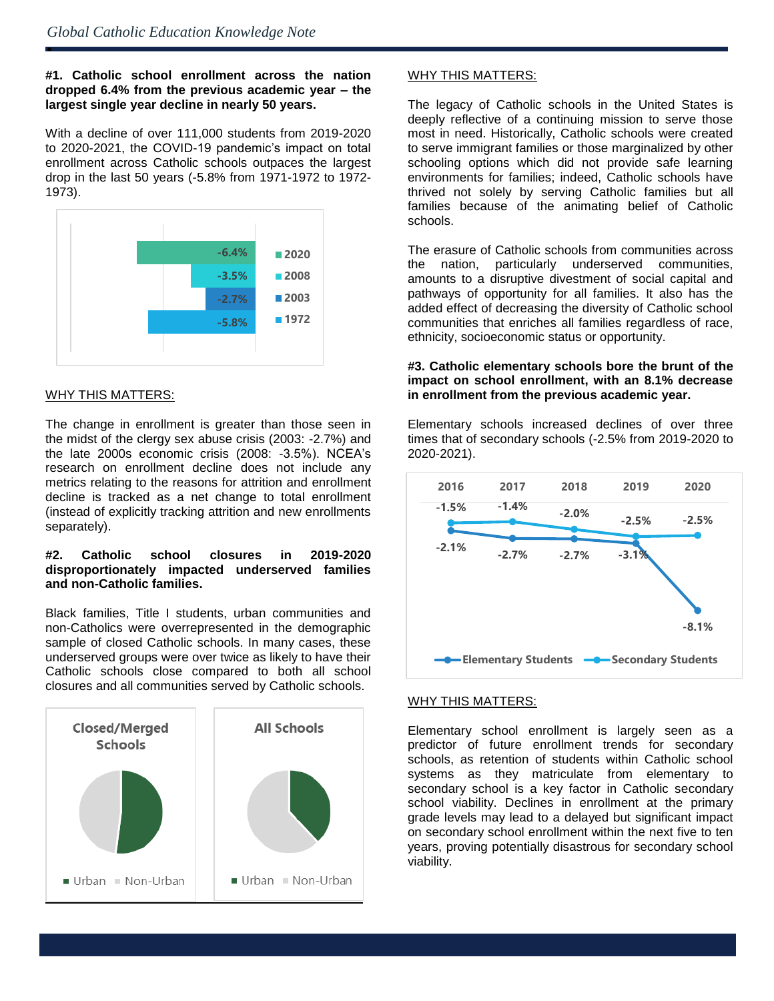## **#1. Catholic school enrollment across the nation dropped 6.4% from the previous academic year – the largest single year decline in nearly 50 years.**

With a decline of over 111,000 students from 2019-2020 to 2020-2021, the COVID-19 pandemic's impact on total enrollment across Catholic schools outpaces the largest drop in the last 50 years (-5.8% from 1971-1972 to 1972- 1973).



# WHY THIS MATTERS:

ė

The change in enrollment is greater than those seen in the midst of the clergy sex abuse crisis (2003: -2.7%) and the late 2000s economic crisis (2008: -3.5%). NCEA's research on enrollment decline does not include any metrics relating to the reasons for attrition and enrollment decline is tracked as a net change to total enrollment (instead of explicitly tracking attrition and new enrollments separately).

## **#2. Catholic school closures in 2019-2020 disproportionately impacted underserved families and non-Catholic families.**

Black families, Title I students, urban communities and non-Catholics were overrepresented in the demographic sample of closed Catholic schools. In many cases, these underserved groups were over twice as likely to have their Catholic schools close compared to both all school closures and all communities served by Catholic schools.



# WHY THIS MATTERS:

The legacy of Catholic schools in the United States is deeply reflective of a continuing mission to serve those most in need. Historically, Catholic schools were created to serve immigrant families or those marginalized by other schooling options which did not provide safe learning environments for families; indeed, Catholic schools have thrived not solely by serving Catholic families but all families because of the animating belief of Catholic schools.

The erasure of Catholic schools from communities across the nation, particularly underserved communities, amounts to a disruptive divestment of social capital and pathways of opportunity for all families. It also has the added effect of decreasing the diversity of Catholic school communities that enriches all families regardless of race, ethnicity, socioeconomic status or opportunity.

#### **#3. Catholic elementary schools bore the brunt of the impact on school enrollment, with an 8.1% decrease in enrollment from the previous academic year.**

Elementary schools increased declines of over three times that of secondary schools (-2.5% from 2019-2020 to 2020-2021).



#### WHY THIS MATTERS:

Elementary school enrollment is largely seen as a predictor of future enrollment trends for secondary schools, as retention of students within Catholic school systems as they matriculate from elementary to secondary school is a key factor in Catholic secondary school viability. Declines in enrollment at the primary grade levels may lead to a delayed but significant impact on secondary school enrollment within the next five to ten years, proving potentially disastrous for secondary school viability.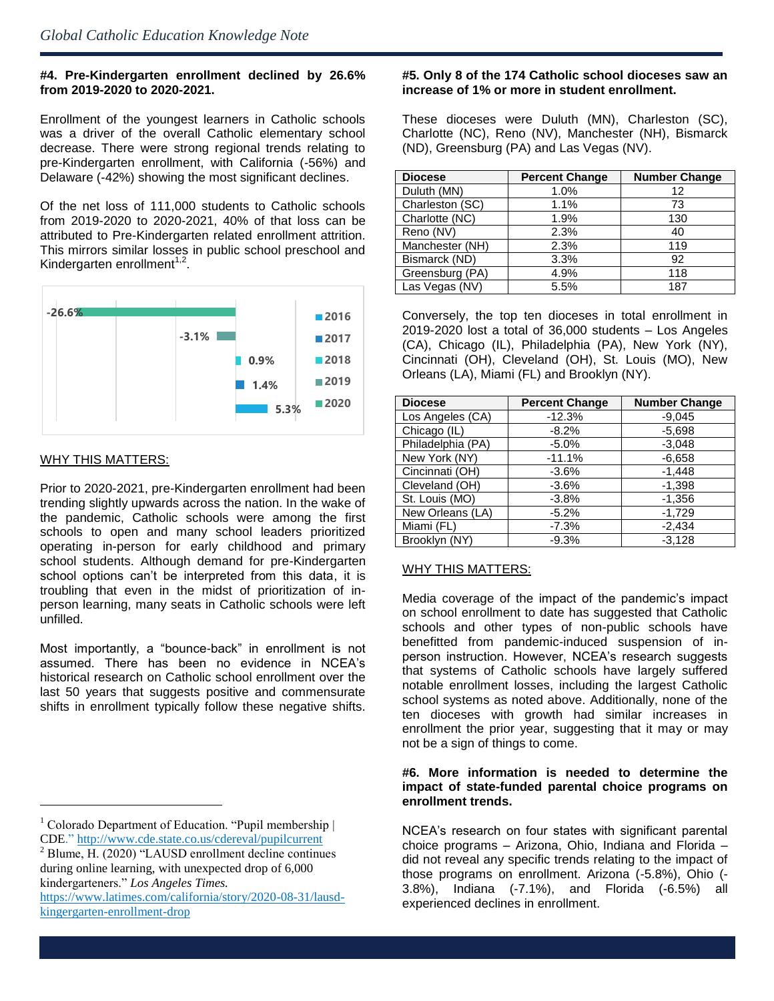# **#4. Pre-Kindergarten enrollment declined by 26.6% from 2019-2020 to 2020-2021.**

Enrollment of the youngest learners in Catholic schools was a driver of the overall Catholic elementary school decrease. There were strong regional trends relating to pre-Kindergarten enrollment, with California (-56%) and Delaware (-42%) showing the most significant declines.

Of the net loss of 111,000 students to Catholic schools from 2019-2020 to 2020-2021, 40% of that loss can be attributed to Pre-Kindergarten related enrollment attrition. This mirrors similar losses in public school preschool and Kindergarten enrollment $1,2$ .



#### WHY THIS MATTERS:

l

Prior to 2020-2021, pre-Kindergarten enrollment had been trending slightly upwards across the nation. In the wake of the pandemic, Catholic schools were among the first schools to open and many school leaders prioritized operating in-person for early childhood and primary school students. Although demand for pre-Kindergarten school options can't be interpreted from this data, it is troubling that even in the midst of prioritization of inperson learning, many seats in Catholic schools were left unfilled.

Most importantly, a "bounce-back" in enrollment is not assumed. There has been no evidence in NCEA's historical research on Catholic school enrollment over the last 50 years that suggests positive and commensurate shifts in enrollment typically follow these negative shifts.

#### **#5. Only 8 of the 174 Catholic school dioceses saw an increase of 1% or more in student enrollment.**

These dioceses were Duluth (MN), Charleston (SC), Charlotte (NC), Reno (NV), Manchester (NH), Bismarck (ND), Greensburg (PA) and Las Vegas (NV).

| <b>Diocese</b>  | <b>Percent Change</b> | <b>Number Change</b> |
|-----------------|-----------------------|----------------------|
| Duluth (MN)     | 1.0%                  | 12                   |
| Charleston (SC) | 1.1%                  | 73                   |
| Charlotte (NC)  | 1.9%                  | 130                  |
| Reno (NV)       | 2.3%                  | 40                   |
| Manchester (NH) | 2.3%                  | 119                  |
| Bismarck (ND)   | 3.3%                  | 92                   |
| Greensburg (PA) | 4.9%                  | 118                  |
| Las Vegas (NV)  | 5.5%                  | 187                  |

Conversely, the top ten dioceses in total enrollment in 2019-2020 lost a total of 36,000 students – Los Angeles (CA), Chicago (IL), Philadelphia (PA), New York (NY), Cincinnati (OH), Cleveland (OH), St. Louis (MO), New Orleans (LA), Miami (FL) and Brooklyn (NY).

| <b>Diocese</b>    | <b>Percent Change</b> | <b>Number Change</b> |
|-------------------|-----------------------|----------------------|
| Los Angeles (CA)  | $-12.3%$              | $-9,045$             |
| Chicago (IL)      | $-8.2\%$              | $-5,698$             |
| Philadelphia (PA) | $-5.0\%$              | $-3.048$             |
| New York (NY)     | $-11.1%$              | $-6,658$             |
| Cincinnati (OH)   | $-3.6%$               | $-1.448$             |
| Cleveland (OH)    | $-3.6%$               | $-1,398$             |
| St. Louis (MO)    | $-3.8%$               | $-1,356$             |
| New Orleans (LA)  | $-5.2%$               | $-1,729$             |
| Miami (FL)        | $-7.3%$               | $-2,434$             |
| Brooklyn (NY)     | $-9.3%$               | $-3.128$             |

#### WHY THIS MATTERS:

Media coverage of the impact of the pandemic's impact on school enrollment to date has suggested that Catholic schools and other types of non-public schools have benefitted from pandemic-induced suspension of inperson instruction. However, NCEA's research suggests that systems of Catholic schools have largely suffered notable enrollment losses, including the largest Catholic school systems as noted above. Additionally, none of the ten dioceses with growth had similar increases in enrollment the prior year, suggesting that it may or may not be a sign of things to come.

### **#6. More information is needed to determine the impact of state-funded parental choice programs on enrollment trends.**

<sup>&</sup>lt;sup>1</sup> Colorado Department of Education. "Pupil membership  $\vert$ CDE."<http://www.cde.state.co.us/cdereval/pupilcurrent>

<sup>2</sup> Blume, H. (2020) "LAUSD enrollment decline continues during online learning, with unexpected drop of 6,000 kindergarteners." *Los Angeles Times.*

[https://www.latimes.com/california/story/2020-08-31/lausd](https://www.latimes.com/california/story/2020-08-31/lausd-kingergarten-enrollment-drop)[kingergarten-enrollment-drop](https://www.latimes.com/california/story/2020-08-31/lausd-kingergarten-enrollment-drop)

NCEA's research on four states with significant parental choice programs – Arizona, Ohio, Indiana and Florida – did not reveal any specific trends relating to the impact of those programs on enrollment. Arizona (-5.8%), Ohio (- 3.8%), Indiana (-7.1%), and Florida (-6.5%) all experienced declines in enrollment.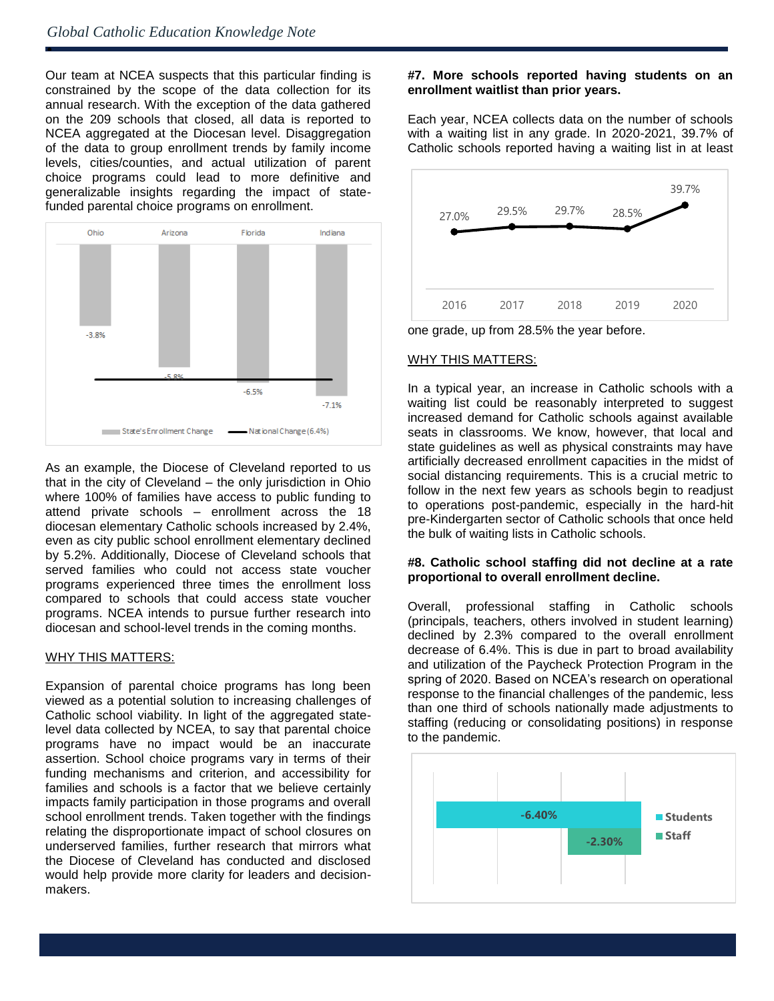ė

Our team at NCEA suspects that this particular finding is constrained by the scope of the data collection for its annual research. With the exception of the data gathered on the 209 schools that closed, all data is reported to NCEA aggregated at the Diocesan level. Disaggregation of the data to group enrollment trends by family income levels, cities/counties, and actual utilization of parent choice programs could lead to more definitive and generalizable insights regarding the impact of statefunded parental choice programs on enrollment.



As an example, the Diocese of Cleveland reported to us that in the city of Cleveland – the only jurisdiction in Ohio where 100% of families have access to public funding to attend private schools – enrollment across the 18 diocesan elementary Catholic schools increased by 2.4%, even as city public school enrollment elementary declined by 5.2%. Additionally, Diocese of Cleveland schools that served families who could not access state voucher programs experienced three times the enrollment loss compared to schools that could access state voucher programs. NCEA intends to pursue further research into diocesan and school-level trends in the coming months.

#### WHY THIS MATTERS:

Expansion of parental choice programs has long been viewed as a potential solution to increasing challenges of Catholic school viability. In light of the aggregated statelevel data collected by NCEA, to say that parental choice programs have no impact would be an inaccurate assertion. School choice programs vary in terms of their funding mechanisms and criterion, and accessibility for families and schools is a factor that we believe certainly impacts family participation in those programs and overall school enrollment trends. Taken together with the findings relating the disproportionate impact of school closures on underserved families, further research that mirrors what the Diocese of Cleveland has conducted and disclosed would help provide more clarity for leaders and decisionmakers.

## **#7. More schools reported having students on an enrollment waitlist than prior years.**

Each year, NCEA collects data on the number of schools with a waiting list in any grade. In 2020-2021, 39.7% of Catholic schools reported having a waiting list in at least



one grade, up from 28.5% the year before.

# WHY THIS MATTERS:

In a typical year, an increase in Catholic schools with a waiting list could be reasonably interpreted to suggest increased demand for Catholic schools against available seats in classrooms. We know, however, that local and state guidelines as well as physical constraints may have artificially decreased enrollment capacities in the midst of social distancing requirements. This is a crucial metric to follow in the next few years as schools begin to readjust to operations post-pandemic, especially in the hard-hit pre-Kindergarten sector of Catholic schools that once held the bulk of waiting lists in Catholic schools.

#### **#8. Catholic school staffing did not decline at a rate proportional to overall enrollment decline.**

Overall, professional staffing in Catholic schools (principals, teachers, others involved in student learning) declined by 2.3% compared to the overall enrollment decrease of 6.4%. This is due in part to broad availability and utilization of the Paycheck Protection Program in the spring of 2020. Based on NCEA's research on operational response to the financial challenges of the pandemic, less than one third of schools nationally made adjustments to staffing (reducing or consolidating positions) in response to the pandemic.